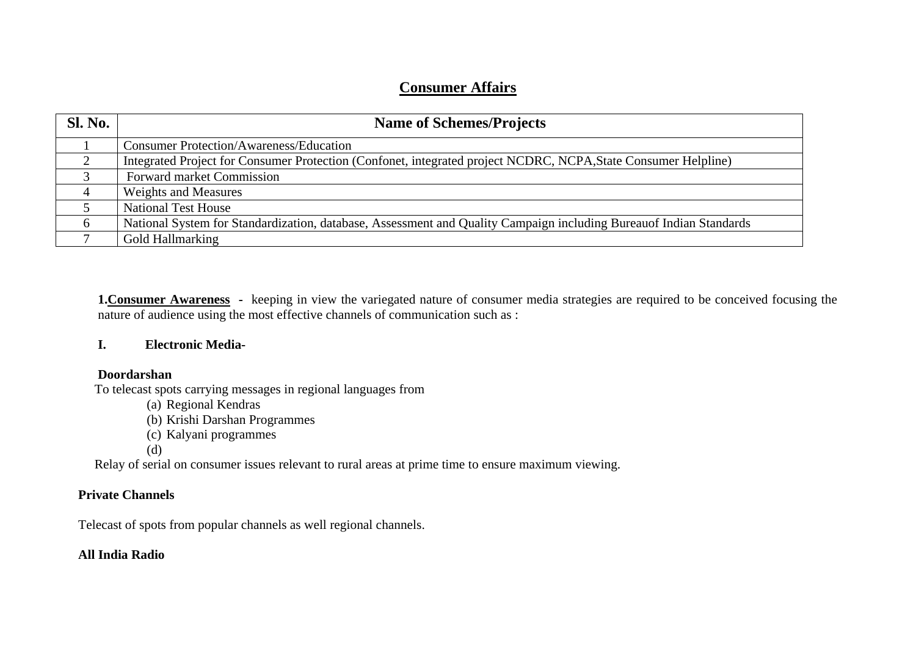# **Consumer Affairs**

| <b>Sl. No.</b> | <b>Name of Schemes/Projects</b>                                                                                    |
|----------------|--------------------------------------------------------------------------------------------------------------------|
|                | <b>Consumer Protection/Awareness/Education</b>                                                                     |
| ◠              | Integrated Project for Consumer Protection (Confonet, integrated project NCDRC, NCPA, State Consumer Helpline)     |
|                | Forward market Commission                                                                                          |
|                | <b>Weights and Measures</b>                                                                                        |
|                | <b>National Test House</b>                                                                                         |
| $\sigma$       | National System for Standardization, database, Assessment and Quality Campaign including Bureauof Indian Standards |
|                | Gold Hallmarking                                                                                                   |

**1.Consumer Awareness -** keeping in view the variegated nature of consumer media strategies are required to be conceived focusing the nature of audience using the most effective channels of communication such as :

### **I. Electronic Media-**

### **Doordarshan**

To telecast spots carrying messages in regional languages from

- (a) Regional Kendras (b) Krishi Darshan Programmes
- (c) Kalyani programmes
- (d)

Relay of serial on consumer issues relevant to rural areas at prime time to ensure maximum viewing.

## **Private Channels**

Telecast of spots from popular channels as well regional channels.

## **All India Radio**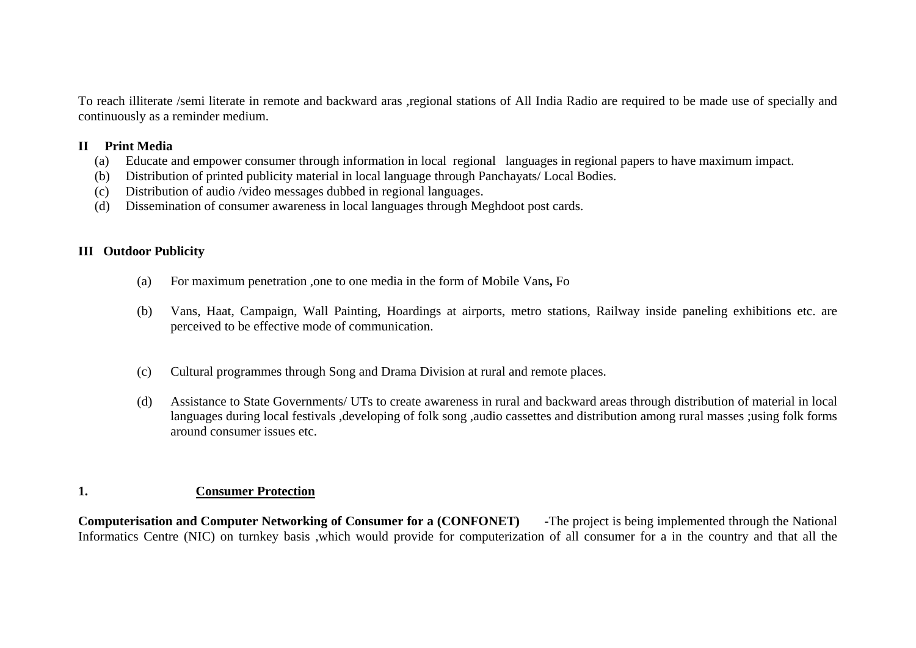To reach illiterate /semi literate in remote and backward aras ,regional stations of All India Radio are required to be made use of specially and continuously as a reminder medium.

### **II Print Media**

- (a) Educate and empower consumer through information in local regional languages in regional papers to have maximum impact.
- (b) Distribution of printed publicity material in local language through Panchayats/ Local Bodies.
- (c) Distribution of audio /video messages dubbed in regional languages.
- (d) Dissemination of consumer awareness in local languages through Meghdoot post cards.

## **III Outdoor Publicity**

- (a) For maximum penetration ,one to one media in the form of Mobile Vans**,** Fo
- (b) Vans, Haat, Campaign, Wall Painting, Hoardings at airports, metro stations, Railway inside paneling exhibitions etc. are perceived to be effective mode of communication.
- (c) Cultural programmes through Song and Drama Division at rural and remote places.
- (d) Assistance to State Governments/ UTs to create awareness in rural and backward areas through distribution of material in local languages during local festivals ,developing of folk song ,audio cassettes and distribution among rural masses ;using folk forms around consumer issues etc.

## **1. Consumer Protection**

**Computerisation and Computer Networking of Consumer for a (CONFONET) -**The project is being implemented through the National Informatics Centre (NIC) on turnkey basis ,which would provide for computerization of all consumer for a in the country and that all the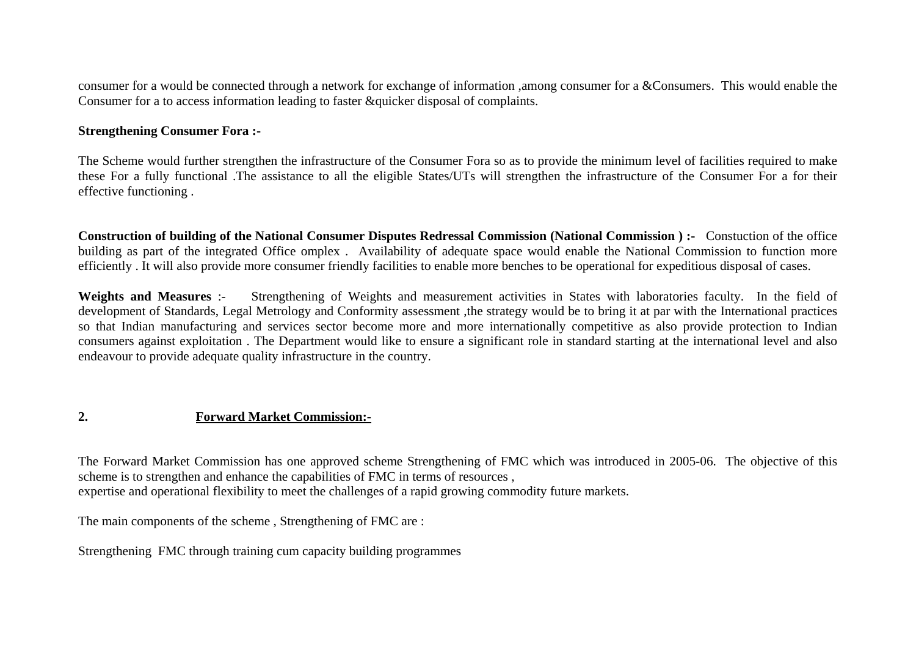consumer for a would be connected through a network for exchange of information ,among consumer for a &Consumers. This would enable the Consumer for a to access information leading to faster &quicker disposal of complaints.

#### **Strengthening Consumer Fora :-**

The Scheme would further strengthen the infrastructure of the Consumer Fora so as to provide the minimum level of facilities required to make these For a fully functional .The assistance to all the eligible States/UTs will strengthen the infrastructure of the Consumer For a for their effective functioning .

**Construction of building of the National Consumer Disputes Redressal Commission (National Commission ) :-** Constuction of the office building as part of the integrated Office omplex . Availability of adequate space would enable the National Commission to function more efficiently . It will also provide more consumer friendly facilities to enable more benches to be operational for expeditious disposal of cases.

Weights and Measures :- Strengthening of Weights and measurement activities in States with laboratories faculty. In the field of development of Standards, Legal Metrology and Conformity assessment ,the strategy would be to bring it at par with the International practices so that Indian manufacturing and services sector become more and more internationally competitive as also provide protection to Indian consumers against exploitation . The Department would like to ensure a significant role in standard starting at the international level and also endeavour to provide adequate quality infrastructure in the country.

### **2. Forward Market Commission:-**

The Forward Market Commission has one approved scheme Strengthening of FMC which was introduced in 2005-06. The objective of this scheme is to strengthen and enhance the capabilities of FMC in terms of resources , expertise and operational flexibility to meet the challenges of a rapid growing commodity future markets.

The main components of the scheme , Strengthening of FMC are :

Strengthening FMC through training cum capacity building programmes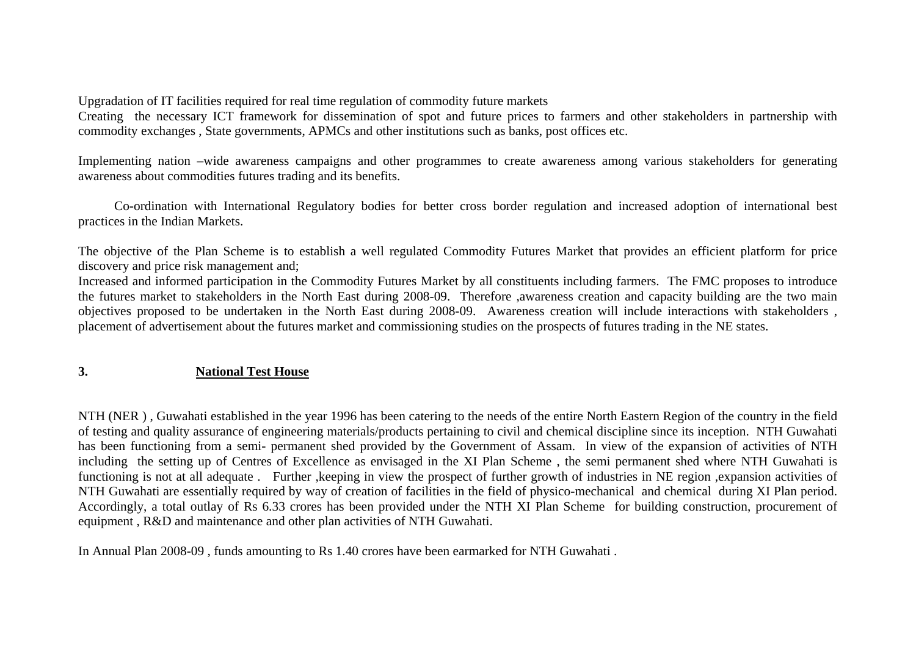Upgradation of IT facilities required for real time regulation of commodity future markets

Creating the necessary ICT framework for dissemination of spot and future prices to farmers and other stakeholders in partnership with commodity exchanges , State governments, APMCs and other institutions such as banks, post offices etc.

Implementing nation –wide awareness campaigns and other programmes to create awareness among various stakeholders for generating awareness about commodities futures trading and its benefits.

 Co-ordination with International Regulatory bodies for better cross border regulation and increased adoption of international best practices in the Indian Markets.

The objective of the Plan Scheme is to establish a well regulated Commodity Futures Market that provides an efficient platform for price discovery and price risk management and;

Increased and informed participation in the Commodity Futures Market by all constituents including farmers. The FMC proposes to introduce the futures market to stakeholders in the North East during 2008-09. Therefore ,awareness creation and capacity building are the two main objectives proposed to be undertaken in the North East during 2008-09. Awareness creation will include interactions with stakeholders , placement of advertisement about the futures market and commissioning studies on the prospects of futures trading in the NE states.

## **3. National Test House**

NTH (NER ) , Guwahati established in the year 1996 has been catering to the needs of the entire North Eastern Region of the country in the field of testing and quality assurance of engineering materials/products pertaining to civil and chemical discipline since its inception. NTH Guwahati has been functioning from a semi- permanent shed provided by the Government of Assam. In view of the expansion of activities of NTH including the setting up of Centres of Excellence as envisaged in the XI Plan Scheme , the semi permanent shed where NTH Guwahati is functioning is not at all adequate . Further ,keeping in view the prospect of further growth of industries in NE region ,expansion activities of NTH Guwahati are essentially required by way of creation of facilities in the field of physico-mechanical and chemical during XI Plan period. Accordingly, a total outlay of Rs 6.33 crores has been provided under the NTH XI Plan Scheme for building construction, procurement of equipment , R&D and maintenance and other plan activities of NTH Guwahati.

In Annual Plan 2008-09 , funds amounting to Rs 1.40 crores have been earmarked for NTH Guwahati .